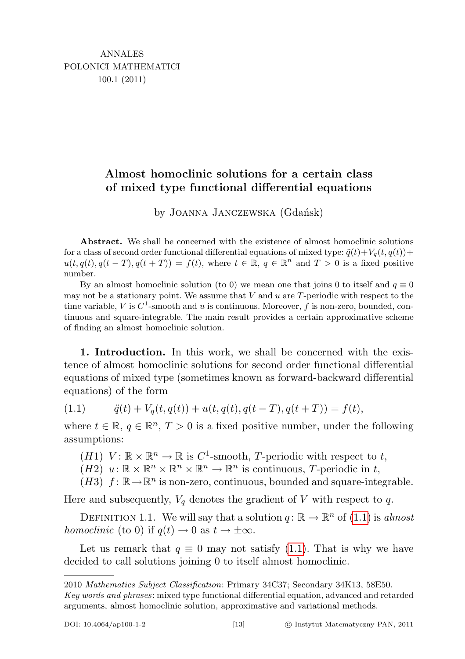## Almost homoclinic solutions for a certain class of mixed type functional differential equations

by JOANNA JANCZEWSKA (Gdańsk)

Abstract. We shall be concerned with the existence of almost homoclinic solutions for a class of second order functional differential equations of mixed type:  $\ddot{q}(t)+V_q(t, q(t))+$  $u(t, q(t), q(t-T), q(t+T)) = f(t)$ , where  $t \in \mathbb{R}, q \in \mathbb{R}^n$  and  $T > 0$  is a fixed positive number.

By an almost homoclinic solution (to 0) we mean one that joins 0 to itself and  $q \equiv 0$ may not be a stationary point. We assume that  $V$  and  $u$  are  $T$ -periodic with respect to the time variable, V is  $C^1$ -smooth and u is continuous. Moreover, f is non-zero, bounded, continuous and square-integrable. The main result provides a certain approximative scheme of finding an almost homoclinic solution.

1. Introduction. In this work, we shall be concerned with the existence of almost homoclinic solutions for second order functional differential equations of mixed type (sometimes known as forward-backward differential equations) of the form

<span id="page-0-0"></span>(1.1)  $\ddot{q}(t) + V_q(t, q(t)) + u(t, q(t), q(t-T), q(t+T)) = f(t),$ 

where  $t \in \mathbb{R}$ ,  $q \in \mathbb{R}^n$ ,  $T > 0$  is a fixed positive number, under the following assumptions:

(*H*1)  $V: \mathbb{R} \times \mathbb{R}^n \to \mathbb{R}$  is  $C^1$ -smooth, *T*-periodic with respect to *t*,

 $(H2)$   $u: \mathbb{R} \times \mathbb{R}^n \times \mathbb{R}^n \times \mathbb{R}^n \to \mathbb{R}^n$  is continuous, T-periodic in t,

 $(H3)$   $f: \mathbb{R} \to \mathbb{R}^n$  is non-zero, continuous, bounded and square-integrable.

Here and subsequently,  $V_q$  denotes the gradient of V with respect to q.

DEFINITION 1.1. We will say that a solution  $q: \mathbb{R} \to \mathbb{R}^n$  of  $(1.1)$  is almost homoclinic (to 0) if  $q(t) \to 0$  as  $t \to \pm \infty$ .

Let us remark that  $q \equiv 0$  may not satisfy [\(1.1\)](#page-0-0). That is why we have decided to call solutions joining 0 to itself almost homoclinic.

<sup>2010</sup> Mathematics Subject Classification: Primary 34C37; Secondary 34K13, 58E50.

Key words and phrases: mixed type functional differential equation, advanced and retarded arguments, almost homoclinic solution, approximative and variational methods.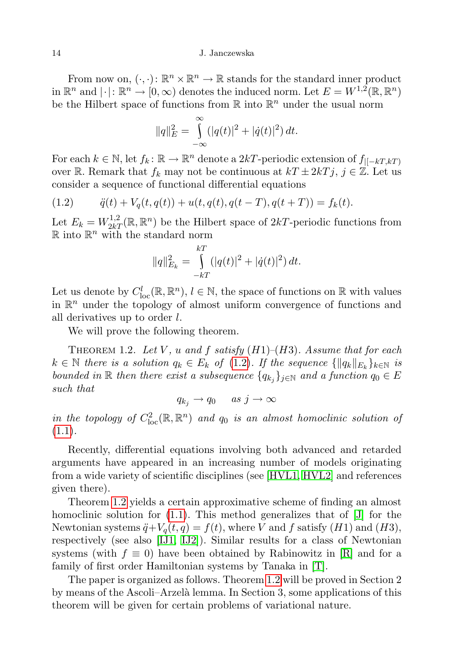## 14 J. Janczewska

From now on,  $(\cdot, \cdot)$ :  $\mathbb{R}^n \times \mathbb{R}^n \to \mathbb{R}$  stands for the standard inner product in  $\mathbb{R}^n$  and  $|\cdot|: \mathbb{R}^n \to [0, \infty)$  denotes the induced norm. Let  $E = W^{1,2}(\mathbb{R}, \mathbb{R}^n)$ be the Hilbert space of functions from  $\mathbb R$  into  $\mathbb R^n$  under the usual norm

$$
||q||_E^2 = \int_{-\infty}^{\infty} (|q(t)|^2 + |\dot{q}(t)|^2) dt.
$$

For each  $k \in \mathbb{N}$ , let  $f_k \colon \mathbb{R} \to \mathbb{R}^n$  denote a 2kT-periodic extension of  $f_{|[-kT,kT]}$ over R. Remark that  $f_k$  may not be continuous at  $kT \pm 2kTj$ ,  $j \in \mathbb{Z}$ . Let us consider a sequence of functional differential equations

<span id="page-1-0"></span>(1.2) 
$$
\ddot{q}(t) + V_q(t, q(t)) + u(t, q(t), q(t-T), q(t+T)) = f_k(t).
$$

Let  $E_k = W^{1,2}_{2k}(\mathbb{R}, \mathbb{R}^n)$  be the Hilbert space of  $2kT$ -periodic functions from  $\mathbb{R}$  into  $\mathbb{R}^n$  with the standard norm

$$
||q||_{E_k}^2 = \int_{-kT}^{kT} (|q(t)|^2 + |\dot{q}(t)|^2) dt.
$$

Let us denote by  $C^l_{loc}(\mathbb{R}, \mathbb{R}^n)$ ,  $l \in \mathbb{N}$ , the space of functions on  $\mathbb{R}$  with values in  $\mathbb{R}^n$  under the topology of almost uniform convergence of functions and all derivatives up to order l.

We will prove the following theorem.

<span id="page-1-1"></span>THEOREM 1.2. Let V, u and f satisfy  $(H1)$ – $(H3)$ . Assume that for each  $k \in \mathbb{N}$  there is a solution  $q_k \in E_k$  of  $(1.2)$ . If the sequence  $\{\|q_k\|_{E_k}\}_{k \in \mathbb{N}}$  is bounded in R then there exist a subsequence  $\{q_{k_j}\}_{j\in\mathbb{N}}$  and a function  $q_0 \in E$ such that

$$
q_{k_j} \to q_0 \quad \text{as } j \to \infty
$$

in the topology of  $C^2_{loc}(\mathbb{R}, \mathbb{R}^n)$  and  $q_0$  is an almost homoclinic solution of  $(1.1).$  $(1.1).$ 

Recently, differential equations involving both advanced and retarded arguments have appeared in an increasing number of models originating from a wide variety of scientific disciplines (see [\[HVL1,](#page-10-0) [HVL2\]](#page-10-1) and references given there).

Theorem [1.2](#page-1-1) yields a certain approximative scheme of finding an almost homoclinic solution for  $(1.1)$ . This method generalizes that of  $[J]$  for the Newtonian systems  $\ddot{q}+V_q(t,q) = f(t)$ , where V and f satisfy  $(H1)$  and  $(H3)$ , respectively (see also [\[IJ1,](#page-10-3) [IJ2\]](#page-10-4)). Similar results for a class of Newtonian systems (with  $f \equiv 0$ ) have been obtained by Rabinowitz in [\[R\]](#page-11-0) and for a family of first order Hamiltonian systems by Tanaka in [\[T\]](#page-11-1).

The paper is organized as follows. Theorem [1.2](#page-1-1) will be proved in Section 2 by means of the Ascoli–Arzel`a lemma. In Section 3, some applications of this theorem will be given for certain problems of variational nature.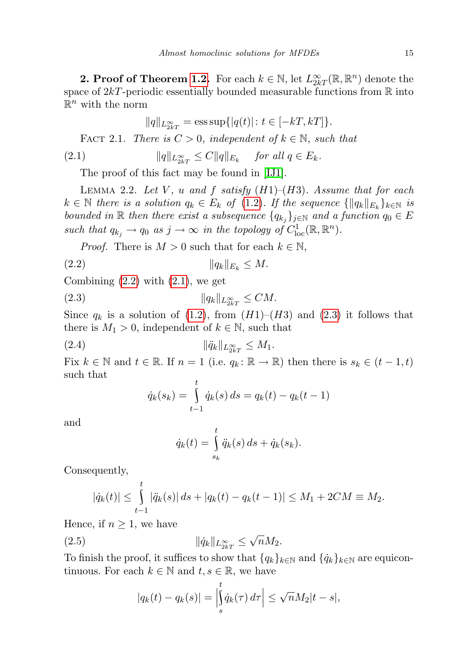**2. Proof of Theorem [1.2.](#page-1-1)** For each  $k \in \mathbb{N}$ , let  $L^{\infty}_{2k}(\mathbb{R}, \mathbb{R}^n)$  denote the space of  $2kT$ -periodic essentially bounded measurable functions from  $\mathbb R$  into  $\mathbb{R}^n$  with the norm

<span id="page-2-1"></span>
$$
||q||_{L_{2k}^{\infty}} = \text{ess sup}\{|q(t)|: t \in [-kT, kT]\}.
$$

FACT 2.1. There is  $C > 0$ , independent of  $k \in \mathbb{N}$ , such that

$$
(2.1) \t\t ||q||_{L^{\infty}_{2kT}} \leq C||q||_{E_k} \t \text{ for all } q \in E_k.
$$

The proof of this fact may be found in [\[IJ1\]](#page-10-3).

<span id="page-2-5"></span>LEMMA 2.2. Let V, u and f satisfy  $(H1)$ – $(H3)$ . Assume that for each  $k \in \mathbb{N}$  there is a solution  $q_k \in E_k$  of [\(1.2\)](#page-1-0). If the sequence  $\{\|q_k\|_{E_k}\}_{k \in \mathbb{N}}$  is bounded in R then there exist a subsequence  $\{q_{k_j}\}_{j\in\mathbb{N}}$  and a function  $q_0 \in E$ such that  $q_{k_j} \to q_0$  as  $j \to \infty$  in the topology of  $C^1_{loc}(\mathbb{R}, \mathbb{R}^n)$ .

<span id="page-2-0"></span>*Proof.* There is  $M > 0$  such that for each  $k \in \mathbb{N}$ ,

(2.2) kqkkE<sup>k</sup> ≤ M.

Combining  $(2.2)$  with  $(2.1)$ , we get

$$
(2.3) \t\t\t ||q_k||_{L_{2kT}^{\infty}} \le CM.
$$

Since  $q_k$  is a solution of [\(1.2\)](#page-1-0), from  $(H1)$ – $(H3)$  and [\(2.3\)](#page-2-2) it follows that there is  $M_1 > 0$ , independent of  $k \in \mathbb{N}$ , such that

(2.4) 
$$
\|\ddot{q}_k\|_{L^{\infty}_{2kT}} \leq M_1.
$$

Fix  $k \in \mathbb{N}$  and  $t \in \mathbb{R}$ . If  $n = 1$  (i.e.  $q_k : \mathbb{R} \to \mathbb{R}$ ) then there is  $s_k \in (t - 1, t)$ such that t

<span id="page-2-4"></span><span id="page-2-2"></span>
$$
\dot{q}_k(s_k) = \int_{t-1}^s \dot{q}_k(s) \, ds = q_k(t) - q_k(t-1)
$$

and

$$
\dot{q}_k(t) = \int\limits_{s_k}^t \ddot{q}_k(s) \, ds + \dot{q}_k(s_k).
$$

Consequently,

$$
|\dot{q}_k(t)| \leq \int_{t-1}^t |\ddot{q}_k(s)| ds + |q_k(t) - q_k(t-1)| \leq M_1 + 2CM \equiv M_2.
$$

Hence, if  $n \geq 1$ , we have

$$
(2.5) \t\t\t\t\t |\hat{q}_k||_{L_{2kT}^{\infty}} \leq \sqrt{n}M_2.
$$

To finish the proof, it suffices to show that  $\{q_k\}_{k\in\mathbb{N}}$  and  $\{\dot{q}_k\}_{k\in\mathbb{N}}$  are equicontinuous. For each  $k \in \mathbb{N}$  and  $t, s \in \mathbb{R}$ , we have

<span id="page-2-3"></span>
$$
|q_k(t) - q_k(s)| = \left| \int_s^t \dot{q}_k(\tau) d\tau \right| \le \sqrt{n} M_2 |t - s|,
$$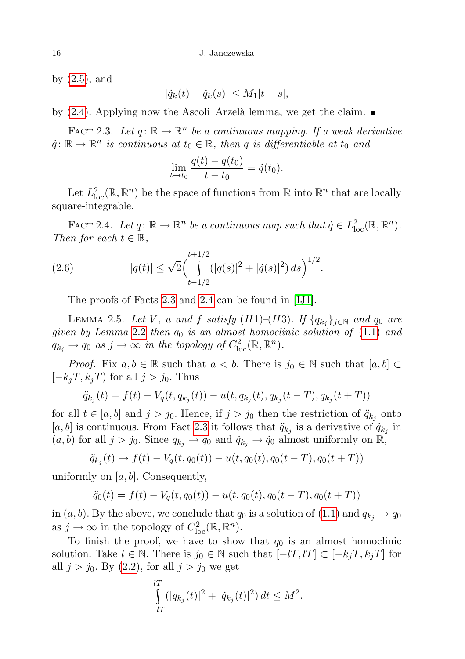by [\(2.5\)](#page-2-3), and

$$
|\dot{q}_k(t) - \dot{q}_k(s)| \le M_1|t - s|,
$$

by  $(2.4)$ . Applying now the Ascoli–Arzelà lemma, we get the claim.

<span id="page-3-0"></span>FACT 2.3. Let  $q: \mathbb{R} \to \mathbb{R}^n$  be a continuous mapping. If a weak derivative  $\dot{q}: \mathbb{R} \to \mathbb{R}^n$  is continuous at  $t_0 \in \mathbb{R}$ , then q is differentiable at  $t_0$  and

$$
\lim_{t \to t_0} \frac{q(t) - q(t_0)}{t - t_0} = \dot{q}(t_0).
$$

Let  $L^2_{\text{loc}}(\mathbb{R}, \mathbb{R}^n)$  be the space of functions from  $\mathbb{R}$  into  $\mathbb{R}^n$  that are locally square-integrable.

<span id="page-3-1"></span>FACT 2.4. Let  $q: \mathbb{R} \to \mathbb{R}^n$  be a continuous map such that  $\dot{q} \in L^2_{loc}(\mathbb{R}, \mathbb{R}^n)$ . Then for each  $t \in \mathbb{R}$ ,

(2.6) 
$$
|q(t)| \leq \sqrt{2} \Biggl( \int_{t-1/2}^{t+1/2} (|q(s)|^2 + |\dot{q}(s)|^2) ds \Biggr)^{1/2}.
$$

<span id="page-3-2"></span>The proofs of Facts [2.3](#page-3-0) and [2.4](#page-3-1) can be found in [\[IJ1\]](#page-10-3).

LEMMA 2.5. Let V, u and f satisfy  $(H1)$ – $(H3)$ . If  $\{q_{k_j}\}_{j\in\mathbb{N}}$  and  $q_0$  are given by Lemma [2.2](#page-2-5) then  $q_0$  is an almost homoclinic solution of  $(1.1)$  and  $q_{k_j} \to q_0$  as  $j \to \infty$  in the topology of  $C^2_{loc}(\mathbb{R}, \mathbb{R}^n)$ .

*Proof.* Fix  $a, b \in \mathbb{R}$  such that  $a < b$ . There is  $j_0 \in \mathbb{N}$  such that  $[a, b] \subset$  $[-k_jT, k_jT)$  for all  $j > j_0$ . Thus

$$
\ddot{q}_{k_j}(t) = f(t) - V_q(t, q_{k_j}(t)) - u(t, q_{k_j}(t), q_{k_j}(t-T), q_{k_j}(t+T))
$$

for all  $t \in [a, b]$  and  $j > j_0$ . Hence, if  $j > j_0$  then the restriction of  $\ddot{q}_{k_j}$  onto [a, b] is continuous. From Fact [2.3](#page-3-0) it follows that  $\ddot{q}_{k_j}$  is a derivative of  $\dot{q}_{k_j}$  in  $(a, b)$  for all  $j > j_0$ . Since  $q_{k_j} \to q_0$  and  $\dot{q}_{k_j} \to \dot{q}_0$  almost uniformly on  $\mathbb{R}$ ,

$$
\ddot{q}_{k_j}(t) \to f(t) - V_q(t, q_0(t)) - u(t, q_0(t), q_0(t-T), q_0(t+T))
$$

uniformly on  $[a, b]$ . Consequently,

$$
\ddot{q}_0(t) = f(t) - V_q(t, q_0(t)) - u(t, q_0(t), q_0(t - T), q_0(t + T))
$$

in  $(a, b)$ . By the above, we conclude that  $q_0$  is a solution of  $(1.1)$  and  $q_{k_j} \to q_0$ as  $j \to \infty$  in the topology of  $C^2_{\text{loc}}(\mathbb{R}, \mathbb{R}^n)$ .

To finish the proof, we have to show that  $q_0$  is an almost homoclinic solution. Take  $l \in \mathbb{N}$ . There is  $j_0 \in \mathbb{N}$  such that  $[-lT, lT] \subset [-k_jT, k_jT]$  for all  $j > j_0$ . By  $(2.2)$ , for all  $j > j_0$  we get

$$
\int_{-lT}^{lT} (|q_{k_j}(t)|^2 + |\dot{q}_{k_j}(t)|^2) dt \leq M^2.
$$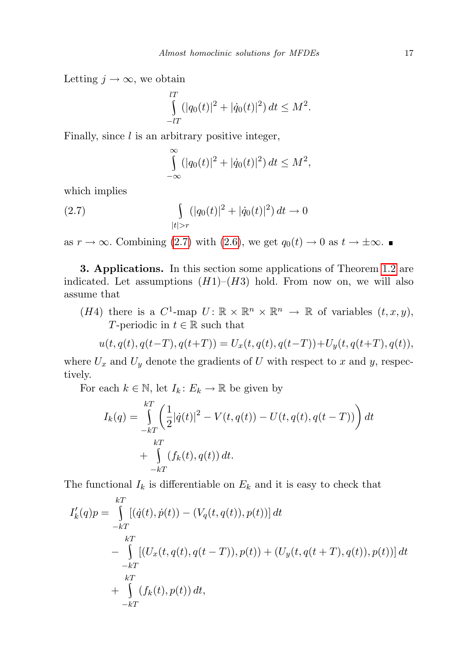Letting  $j \to \infty$ , we obtain

$$
\int_{-lT}^{lT} (|q_0(t)|^2 + |\dot{q}_0(t)|^2) dt \le M^2.
$$

Finally, since  $l$  is an arbitrary positive integer,

<span id="page-4-0"></span>
$$
\int_{-\infty}^{\infty} (|q_0(t)|^2 + |\dot{q}_0(t)|^2) dt \le M^2,
$$

which implies

(2.7) 
$$
\int_{|t|>r} (|q_0(t)|^2 + |\dot{q}_0(t)|^2) dt \to 0
$$

as  $r \to \infty$ . Combining [\(2.7\)](#page-4-0) with [\(2.6\)](#page-3-2), we get  $q_0(t) \to 0$  as  $t \to \pm \infty$ .

3. Applications. In this section some applications of Theorem [1.2](#page-1-1) are indicated. Let assumptions  $(H1)–(H3)$  hold. From now on, we will also assume that

(*H*4) there is a  $C^1$ -map  $U: \mathbb{R} \times \mathbb{R}^n \times \mathbb{R}^n \to \mathbb{R}$  of variables  $(t, x, y)$ , T-periodic in  $t \in \mathbb{R}$  such that

$$
u(t, q(t), q(t-T), q(t+T)) = U_x(t, q(t), q(t-T)) + U_y(t, q(t+T), q(t)),
$$

where  $U_x$  and  $U_y$  denote the gradients of U with respect to x and y, respectively.

For each  $k \in \mathbb{N}$ , let  $I_k: E_k \to \mathbb{R}$  be given by

$$
I_k(q) = \int_{-kT}^{kT} \left( \frac{1}{2} |\dot{q}(t)|^2 - V(t, q(t)) - U(t, q(t), q(t-T)) \right) dt
$$
  
+ 
$$
\int_{-kT}^{kT} (f_k(t), q(t)) dt.
$$

The functional  $I_k$  is differentiable on  $E_k$  and it is easy to check that

$$
I'_{k}(q)p = \int_{-kT}^{kT} [(q(t), \dot{p}(t)) - (V_{q}(t, q(t)), p(t))] dt
$$
  
\n
$$
- \int_{-kT}^{kT} [(U_{x}(t, q(t), q(t-T)), p(t)) + (U_{y}(t, q(t+T), q(t)), p(t))] dt
$$
  
\n
$$
+ \int_{-kT}^{kT} (f_{k}(t), p(t)) dt,
$$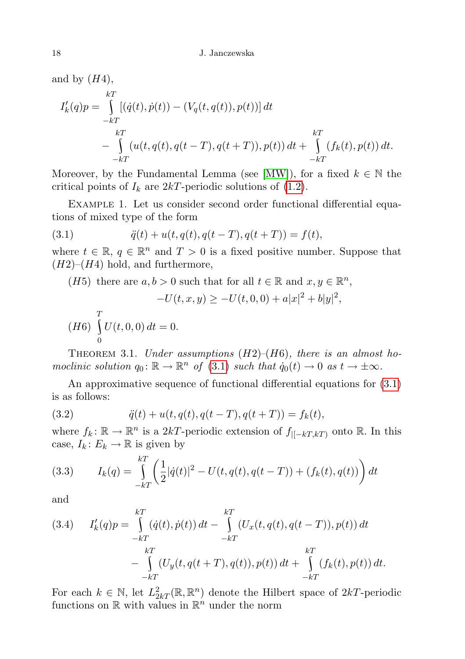and by  $(H4)$ ,

$$
I'_{k}(q)p = \int_{-kT}^{kT} [(\dot{q}(t), \dot{p}(t)) - (V_{q}(t, q(t)), p(t))] dt
$$
  

$$
- \int_{-kT}^{kT} (u(t, q(t), q(t - T), q(t + T)), p(t)) dt + \int_{-kT}^{kT} (f_{k}(t), p(t)) dt.
$$

Moreover, by the Fundamental Lemma (see [\[MW\]](#page-10-5)), for a fixed  $k \in \mathbb{N}$  the critical points of  $I_k$  are  $2kT$ -periodic solutions of [\(1.2\)](#page-1-0).

Example 1. Let us consider second order functional differential equations of mixed type of the form

(3.1) 
$$
\ddot{q}(t) + u(t, q(t), q(t-T), q(t+T)) = f(t),
$$

where  $t \in \mathbb{R}$ ,  $q \in \mathbb{R}^n$  and  $T > 0$  is a fixed positive number. Suppose that  $(H2)$ – $(H4)$  hold, and furthermore,

(*H*5) there are  $a, b > 0$  such that for all  $t \in \mathbb{R}$  and  $x, y \in \mathbb{R}^n$ ,

<span id="page-5-0"></span>
$$
-U(t, x, y) \ge -U(t, 0, 0) + a|x|^2 + b|y|^2,
$$

$$
(H6)\ \int_{0}^{T} U(t,0,0) dt = 0.
$$

<span id="page-5-3"></span>THEOREM 3.1. Under assumptions  $(H2)$ – $(H6)$ , there is an almost homoclinic solution  $q_0: \mathbb{R} \to \mathbb{R}^n$  of (3.[1\)](#page-5-0) such that  $\dot{q}_0(t) \to 0$  as  $t \to \pm \infty$ .

An approximative sequence of functional differential equations for [\(3.1\)](#page-5-0) is as follows:

(3.2) 
$$
\ddot{q}(t) + u(t, q(t), q(t-T), q(t+T)) = f_k(t),
$$

where  $f_k: \mathbb{R} \to \mathbb{R}^n$  is a 2kT-periodic extension of  $f_{|[-kT,kT]}$  onto  $\mathbb{R}$ . In this case,  $I_k: E_k \to \mathbb{R}$  is given by

<span id="page-5-1"></span>(3.3) 
$$
I_k(q) = \int_{-kT}^{kT} \left( \frac{1}{2} |\dot{q}(t)|^2 - U(t, q(t), q(t-T)) + (f_k(t), q(t)) \right) dt
$$

and

<span id="page-5-2"></span>(3.4) 
$$
I'_{k}(q)p = \int_{-kT}^{kT} (\dot{q}(t), \dot{p}(t)) dt - \int_{-kT}^{kT} (U_x(t, q(t), q(t-T)), p(t)) dt
$$

$$
- \int_{-kT}^{kT} (U_y(t, q(t+T), q(t)), p(t)) dt + \int_{-kT}^{kT} (f_k(t), p(t)) dt.
$$

For each  $k \in \mathbb{N}$ , let  $L^2_{2k}(\mathbb{R}, \mathbb{R}^n)$  denote the Hilbert space of  $2kT$ -periodic functions on  $\mathbb R$  with values in  $\mathbb R^n$  under the norm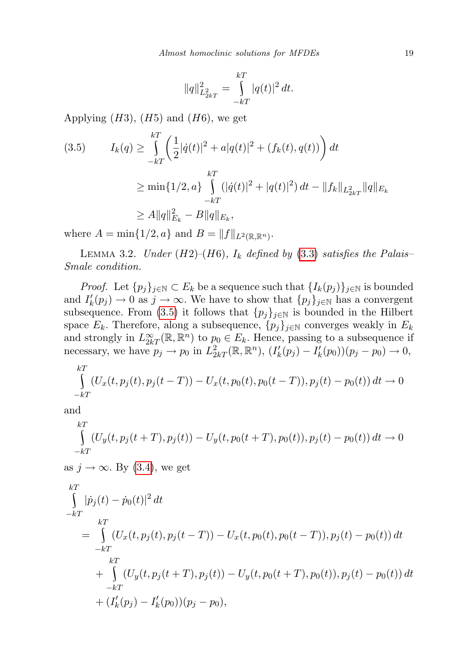$$
||q||_{L_{2kT}}^2 = \int_{-kT}^{kT} |q(t)|^2 dt.
$$

Applying  $(H3)$ ,  $(H5)$  and  $(H6)$ , we get

<span id="page-6-0"></span>
$$
(3.5) \qquad I_k(q) \ge \int_{-kT}^{kT} \left( \frac{1}{2} |\dot{q}(t)|^2 + a|q(t)|^2 + (f_k(t), q(t)) \right) dt
$$

$$
\ge \min\{1/2, a\} \int_{-kT}^{kT} (|\dot{q}(t)|^2 + |q(t)|^2) dt - \|f_k\|_{L_{2kT}^2} \|q\|_{E_k}
$$

$$
\ge A \|q\|_{E_k}^2 - B \|q\|_{E_k},
$$

where  $A = \min\{1/2, a\}$  and  $B = ||f||_{L^2(\mathbb{R}, \mathbb{R}^n)}$ .

<span id="page-6-1"></span>LEMMA 3.2. Under (H2)–(H6),  $I_k$  defined by [\(3.3\)](#page-5-1) satisfies the Palais– Smale condition.

*Proof.* Let  $\{p_j\}_{j\in\mathbb{N}}\subset E_k$  be a sequence such that  $\{I_k(p_j)\}_{j\in\mathbb{N}}$  is bounded and  $I'_k(p_j) \to 0$  as  $j \to \infty$ . We have to show that  $\{p_j\}_{j\in\mathbb{N}}$  has a convergent subsequence. From [\(3.5\)](#page-6-0) it follows that  $\{p_j\}_{j\in\mathbb{N}}$  is bounded in the Hilbert space  $E_k$ . Therefore, along a subsequence,  $\{p_j\}_{j\in\mathbb{N}}$  converges weakly in  $E_k$ and strongly in  $L^{\infty}_{2k}(\mathbb{R}, \mathbb{R}^n)$  to  $p_0 \in E_k$ . Hence, passing to a subsequence if necessary, we have  $p_j \to p_0$  in  $L^2_{2kT}(\mathbb{R}, \mathbb{R}^n)$ ,  $(I'_k(p_j) - I'_k(p_0))(p_j - p_0) \to 0$ ,

$$
\int_{-kT}^{kT} (U_x(t, p_j(t), p_j(t-T)) - U_x(t, p_0(t), p_0(t-T)), p_j(t) - p_0(t)) dt \to 0
$$

and

$$
\int_{-kT}^{kT} (U_y(t, p_j(t+T), p_j(t)) - U_y(t, p_0(t+T), p_0(t)), p_j(t) - p_0(t)) dt \to 0
$$

as  $j \to \infty$ . By [\(3.4\)](#page-5-2), we get

$$
\int_{-kT}^{kT} |\dot{p}_j(t) - \dot{p}_0(t)|^2 dt
$$
\n
$$
= \int_{-kT}^{kT} (U_x(t, p_j(t), p_j(t - T)) - U_x(t, p_0(t), p_0(t - T)), p_j(t) - p_0(t)) dt
$$
\n
$$
+ \int_{-kT}^{kT} (U_y(t, p_j(t + T), p_j(t)) - U_y(t, p_0(t + T), p_0(t)), p_j(t) - p_0(t)) dt
$$
\n
$$
+ (I'_k(p_j) - I'_k(p_0)) (p_j - p_0),
$$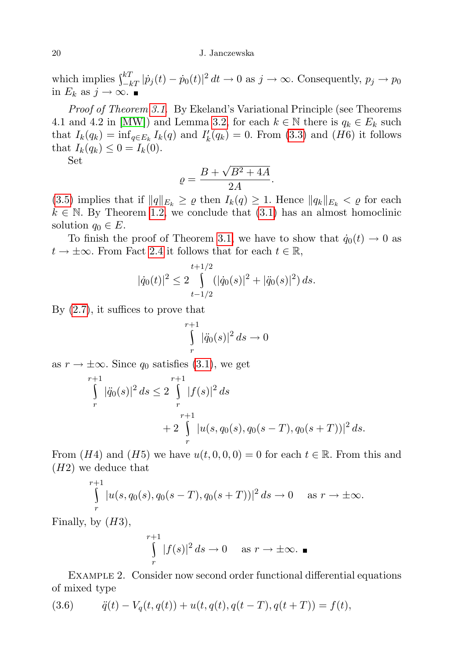20 J. Janczewska

which implies  $\int_{-kT}^{kT} |\dot{p}_j(t) - \dot{p}_0(t)|^2 dt \to 0$  as  $j \to \infty$ . Consequently,  $p_j \to p_0$ in  $E_k$  as  $j \to \infty$ . ■

Proof of Theorem [3.1](#page-5-3). By Ekeland's Variational Principle (see Theorems 4.1 and 4.2 in [\[MW\]](#page-10-5)) and Lemma [3.2,](#page-6-1) for each  $k \in \mathbb{N}$  there is  $q_k \in E_k$  such that  $I_k(q_k) = \inf_{q \in E_k} I_k(q)$  and  $I'_k(q_k) = 0$ . From [\(3.3\)](#page-5-1) and (H6) it follows that  $I_k(q_k) \leq 0 = I_k(0)$ .

Set

$$
\varrho = \frac{B + \sqrt{B^2 + 4A}}{2A}.
$$

[\(3.5\)](#page-6-0) implies that if  $||q||_{E_k} \ge \varrho$  then  $I_k(q) \ge 1$ . Hence  $||q_k||_{E_k} < \varrho$  for each  $k \in \mathbb{N}$ . By Theorem [1.2,](#page-1-1) we conclude that  $(3.1)$  has an almost homoclinic solution  $q_0 \in E$ .

To finish the proof of Theorem [3.1,](#page-5-3) we have to show that  $\dot{q}_0(t) \rightarrow 0$  as  $t \to \pm \infty$ . From Fact [2.4](#page-3-1) it follows that for each  $t \in \mathbb{R}$ ,

$$
|\dot{q}_0(t)|^2 \le 2 \int_{t-1/2}^{t+1/2} (|\dot{q}_0(s)|^2 + |\ddot{q}_0(s)|^2) ds.
$$

By [\(2.7\)](#page-4-0), it suffices to prove that

$$
\int\limits_r^{r+1} |\ddot{q}_0(s)|^2 ds \to 0
$$

as  $r \to \pm \infty$ . Since  $q_0$  satisfies [\(3.1\)](#page-5-0), we get

$$
\int_{r}^{r+1} |\ddot{q}_0(s)|^2 ds \le 2 \int_{r}^{r+1} |f(s)|^2 ds
$$
  
+2 \int\_{r}^{r+1} |u(s, q\_0(s), q\_0(s-T), q\_0(s+T))|^2 ds.

From  $(H4)$  and  $(H5)$  we have  $u(t, 0, 0, 0) = 0$  for each  $t \in \mathbb{R}$ . From this and  $(H2)$  we deduce that

$$
\int_{r}^{r+1} |u(s, q_0(s), q_0(s-T), q_0(s+T))|^2 ds \to 0 \quad \text{as } r \to \pm \infty.
$$

Finally, by  $(H3)$ ,

$$
\int_{r}^{r+1} |f(s)|^2 ds \to 0 \quad \text{as } r \to \pm \infty. \blacksquare
$$

Example 2. Consider now second order functional differential equations of mixed type

<span id="page-7-0"></span>(3.6) 
$$
\ddot{q}(t) - V_q(t, q(t)) + u(t, q(t), q(t-T), q(t+T)) = f(t),
$$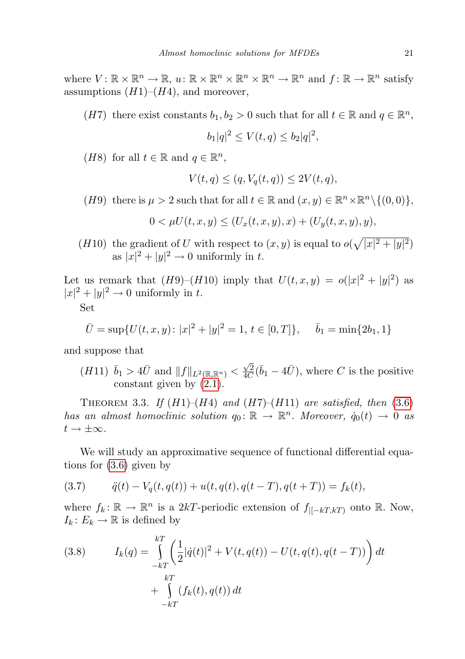where  $V: \mathbb{R} \times \mathbb{R}^n \to \mathbb{R}, u: \mathbb{R} \times \mathbb{R}^n \times \mathbb{R}^n \times \mathbb{R}^n \to \mathbb{R}^n$  and  $f: \mathbb{R} \to \mathbb{R}^n$  satisfy assumptions  $(H1)$ – $(H4)$ , and moreover,

(H7) there exist constants  $b_1, b_2 > 0$  such that for all  $t \in \mathbb{R}$  and  $q \in \mathbb{R}^n$ ,

$$
b_1|q|^2 \le V(t,q) \le b_2|q|^2,
$$

(*H*8) for all  $t \in \mathbb{R}$  and  $q \in \mathbb{R}^n$ ,

$$
V(t,q) \le (q, V_q(t,q)) \le 2V(t,q),
$$

(*H*9) there is  $\mu > 2$  such that for all  $t \in \mathbb{R}$  and  $(x, y) \in \mathbb{R}^n \times \mathbb{R}^n \setminus \{(0, 0)\},$ 

$$
0 < \mu U(t, x, y) \le (U_x(t, x, y), x) + (U_y(t, x, y), y),
$$

(*H*10) the gradient of U with respect to  $(x, y)$  is equal to  $o(\sqrt{|x|^2 + |y|^2})$ as  $|x|^2 + |y|^2 \to 0$  uniformly in t.

Let us remark that  $(H9)-(H10)$  imply that  $U(t, x, y) = o(|x|^2 + |y|^2)$  as  $|x|^2 + |y|^2 \to 0$  uniformly in t.

Set

$$
\bar{U} = \sup \{ U(t, x, y) : |x|^2 + |y|^2 = 1, t \in [0, T] \}, \quad \bar{b}_1 = \min \{ 2b_1, 1 \}
$$

and suppose that

 $(H11)$   $\bar{b}_1 > 4\bar{U}$  and  $||f||_{L^2(\mathbb{R}, \mathbb{R}^n)} < \frac{\sqrt{2}}{4C}$  $\frac{\sqrt{2}}{4C}(\bar{b}_1 - 4\bar{U})$ , where C is the positive constant given by [\(2.1\)](#page-2-1).

<span id="page-8-1"></span>THEOREM 3.3. If  $(H1)$ – $(H4)$  and  $(H7)$ – $(H11)$  are satisfied, then [\(3.6\)](#page-7-0) has an almost homoclinic solution  $q_0: \mathbb{R} \to \mathbb{R}^n$ . Moreover,  $\dot{q}_0(t) \to 0$  as  $t \to \pm \infty$ .

We will study an approximative sequence of functional differential equations for [\(3.6\)](#page-7-0) given by

(3.7) 
$$
\ddot{q}(t) - V_q(t, q(t)) + u(t, q(t), q(t-T), q(t+T)) = f_k(t),
$$

where  $f_k: \mathbb{R} \to \mathbb{R}^n$  is a 2kT-periodic extension of  $f_{|[-kT,kT)}$  onto  $\mathbb{R}$ . Now,  $I_k: E_k \to \mathbb{R}$  is defined by

<span id="page-8-0"></span>(3.8) 
$$
I_k(q) = \int_{-kT}^{kT} \left( \frac{1}{2} |\dot{q}(t)|^2 + V(t, q(t)) - U(t, q(t), q(t - T)) \right) dt + \int_{-kT}^{kT} (f_k(t), q(t)) dt
$$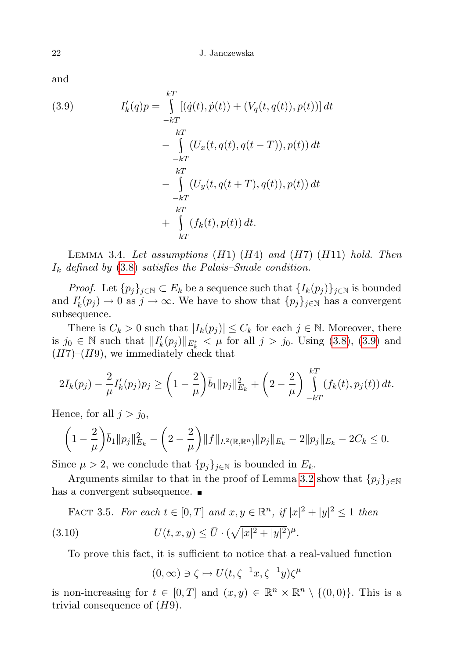and

<span id="page-9-0"></span>(3.9) 
$$
I'_{k}(q)p = \int_{-kT}^{kT} [(\dot{q}(t), \dot{p}(t)) + (V_{q}(t, q(t)), p(t))] dt
$$

$$
- \int_{-kT}^{kT} (U_{x}(t, q(t), q(t - T)), p(t)) dt
$$

$$
- \int_{-kT}^{kT} (U_{y}(t, q(t + T), q(t)), p(t)) dt
$$

$$
+ \int_{-kT}^{kT} (f_{k}(t), p(t)) dt.
$$

<span id="page-9-2"></span>LEMMA 3.4. Let assumptions  $(H1)$ – $(H4)$  and  $(H7)$ – $(H11)$  hold. Then  $I_k$  defined by [\(3.8\)](#page-8-0) satisfies the Palais–Smale condition.

*Proof.* Let  $\{p_j\}_{j\in\mathbb{N}}\subset E_k$  be a sequence such that  $\{I_k(p_j)\}_{j\in\mathbb{N}}$  is bounded and  $I'_k(p_j) \to 0$  as  $j \to \infty$ . We have to show that  $\{p_j\}_{j\in\mathbb{N}}$  has a convergent subsequence.

There is  $C_k > 0$  such that  $|I_k(p_j)| \leq C_k$  for each  $j \in \mathbb{N}$ . Moreover, there is  $j_0 \in \mathbb{N}$  such that  $||I'_k(p_j)||_{E^*_k} < \mu$  for all  $j > j_0$ . Using [\(3.8\)](#page-8-0), [\(3.9\)](#page-9-0) and  $(H7)-(H9)$ , we immediately check that

$$
2I_k(p_j) - \frac{2}{\mu}I'_k(p_j)p_j \ge \left(1 - \frac{2}{\mu}\right)\bar{b}_1\|p_j\|_{E_k}^2 + \left(2 - \frac{2}{\mu}\right)\int\limits_{-kT}^{kT} (f_k(t), p_j(t)) dt.
$$

Hence, for all  $j > j_0$ ,

$$
\left(1-\frac{2}{\mu}\right)\bar{b}_1\|p_j\|_{E_k}^2 - \left(2-\frac{2}{\mu}\right)\|f\|_{L^2(\mathbb{R},\mathbb{R}^n)}\|p_j\|_{E_k} - 2\|p_j\|_{E_k} - 2C_k \leq 0.
$$

Since  $\mu > 2$ , we conclude that  $\{p_j\}_{j \in \mathbb{N}}$  is bounded in  $E_k$ .

Arguments similar to that in the proof of Lemma [3.2](#page-6-1) show that  $\{p_j\}_{j\in\mathbb{N}}$ has a convergent subsequence.  $\blacksquare$ 

FACT 3.5. For each 
$$
t \in [0, T]
$$
 and  $x, y \in \mathbb{R}^n$ , if  $|x|^2 + |y|^2 \leq 1$  then

\n(3.10)

\n
$$
U(t, x, y) \leq \bar{U} \cdot (\sqrt{|x|^2 + |y|^2})^{\mu}.
$$

To prove this fact, it is sufficient to notice that a real-valued function

<span id="page-9-1"></span>
$$
(0,\infty) \ni \zeta \mapsto U(t,\zeta^{-1}x,\zeta^{-1}y)\zeta^{\mu}
$$

is non-increasing for  $t \in [0, T]$  and  $(x, y) \in \mathbb{R}^n \times \mathbb{R}^n \setminus \{(0, 0)\}.$  This is a trivial consequence of  $(H9)$ .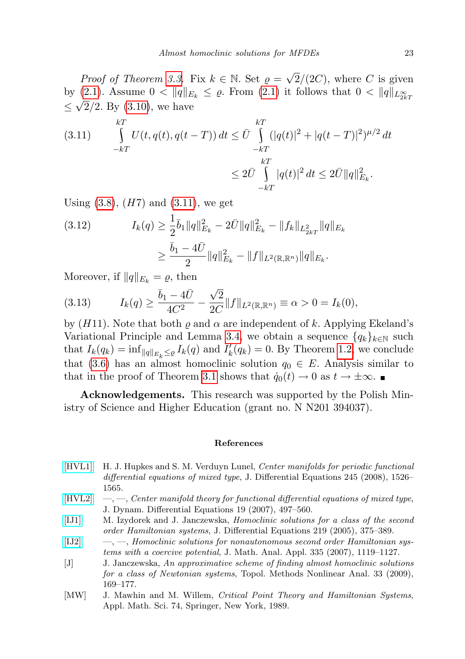*Proof of Theorem [3.3.](#page-8-1)* Fix  $k \in \mathbb{N}$ . Set  $\varrho = \sqrt{\frac{\mu}{\sigma^2}}$  $2/(2C)$ , where C is given by [\(2.1\)](#page-2-1). Assume  $0 < ||q||_{E_k} \leq \varrho$ . From (2.1) it follows that  $0 < ||q||_{L_{2k}^{\infty}}$  $\leq \sqrt{2}/2$ . By [\(3.10\)](#page-9-1), we have

<span id="page-10-6"></span>(3.11) 
$$
\int_{-kT}^{kT} U(t, q(t), q(t-T)) dt \leq \bar{U} \int_{-kT}^{kT} (|q(t)|^2 + |q(t-T)|^2)^{\mu/2} dt
$$

$$
\leq 2\bar{U} \int_{-kT}^{kT} |q(t)|^2 dt \leq 2\bar{U} ||q||_{E_k}^2.
$$

Using  $(3.8)$ ,  $(H7)$  and  $(3.11)$ , we get

(3.12) 
$$
I_k(q) \geq \frac{1}{2} \bar{b}_1 \|q\|_{E_k}^2 - 2\bar{U} \|q\|_{E_k}^2 - \|f_k\|_{L_{2k}^2} \|q\|_{E_k}
$$

$$
\geq \frac{\bar{b}_1 - 4\bar{U}}{2} \|q\|_{E_k}^2 - \|f\|_{L^2(\mathbb{R}, \mathbb{R}^n)} \|q\|_{E_k}.
$$

Moreover, if  $||q||_{E_k} = \varrho$ , then

(3.13) 
$$
I_k(q) \ge \frac{\bar{b}_1 - 4\bar{U}}{4C^2} - \frac{\sqrt{2}}{2C} ||f||_{L^2(\mathbb{R}, \mathbb{R}^n)} \equiv \alpha > 0 = I_k(0),
$$

by  $(H11)$ . Note that both  $\rho$  and  $\alpha$  are independent of k. Applying Ekeland's Variational Principle and Lemma [3.4,](#page-9-2) we obtain a sequence  $\{q_k\}_{k\in\mathbb{N}}$  such that  $I_k(q_k) = \inf_{\|q\|_{E_k} \leq \varrho} I_k(q)$  and  $I'_k(q_k) = 0$ . By Theorem [1.2,](#page-1-1) we conclude that [\(3.6\)](#page-7-0) has an almost homoclinic solution  $q_0 \in E$ . Analysis similar to that in the proof of Theorem [3.1](#page-5-3) shows that  $\dot{q}_0(t) \to 0$  as  $t \to \pm \infty$ .

Acknowledgements. This research was supported by the Polish Ministry of Science and Higher Education (grant no. N N201 394037).

## References

- <span id="page-10-0"></span>[\[HVL1\]](http://dx.doi.org/10.1016/j.jde.2008.02.026) H. J. Hupkes and S. M. Verduyn Lunel, Center manifolds for periodic functional differential equations of mixed type, J. Differential Equations 245 (2008), 1526– 1565.
- <span id="page-10-1"></span> $[HVL2] \quad —, \quad -, \quad Center \, manifold \, theory \, for \, functional \, differential \, equations \,of \,mixed \,type,$  $[HVL2] \quad —, \quad -, \quad Center \, manifold \, theory \, for \, functional \, differential \, equations \,of \,mixed \,type,$ J. Dynam. Differential Equations 19 (2007), 497–560.
- <span id="page-10-3"></span>[\[IJ1\]](http://dx.doi.org/10.1016/j.jde.2005.06.029) M. Izydorek and J. Janczewska, Homoclinic solutions for a class of the second order Hamiltonian systems, J. Differential Equations 219 (2005), 375–389.
- <span id="page-10-4"></span>[\[IJ2\]](http://dx.doi.org/10.1016/j.jmaa.2007.02.038)  $-,-$ , Homoclinic solutions for nonautonomous second order Hamiltonian systems with a coercive potential, J. Math. Anal. Appl. 335 (2007), 1119–1127.
- <span id="page-10-2"></span>[J] J. Janczewska, An approximative scheme of finding almost homoclinic solutions for a class of Newtonian systems, Topol. Methods Nonlinear Anal. 33 (2009), 169–177.
- <span id="page-10-5"></span>[MW] J. Mawhin and M. Willem, Critical Point Theory and Hamiltonian Systems, Appl. Math. Sci. 74, Springer, New York, 1989.